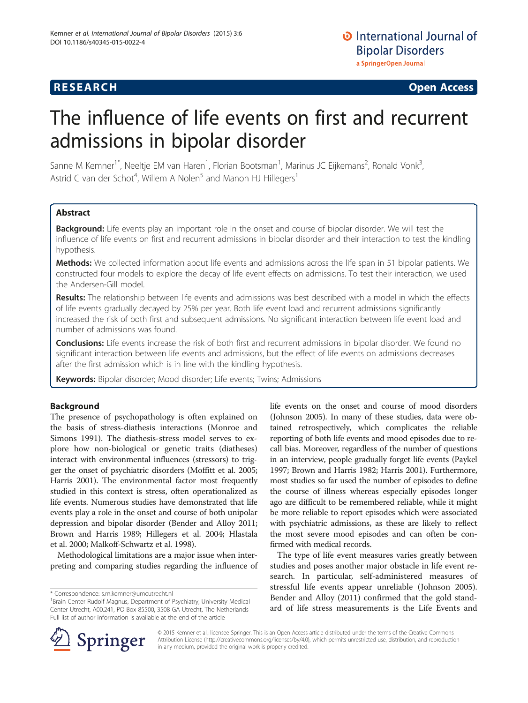# The influence of life events on first and recurrent admissions in bipolar disorder

Sanne M Kemner<sup>1\*</sup>, Neeltje EM van Haren<sup>1</sup>, Florian Bootsman<sup>1</sup>, Marinus JC Eijkemans<sup>2</sup>, Ronald Vonk<sup>3</sup> , Astrid C van der Schot<sup>4</sup>, Willem A Nolen<sup>5</sup> and Manon HJ Hillegers<sup>1</sup>

# **Abstract**

Background: Life events play an important role in the onset and course of bipolar disorder. We will test the influence of life events on first and recurrent admissions in bipolar disorder and their interaction to test the kindling hypothesis.

Methods: We collected information about life events and admissions across the life span in 51 bipolar patients. We constructed four models to explore the decay of life event effects on admissions. To test their interaction, we used the Andersen-Gill model.

Results: The relationship between life events and admissions was best described with a model in which the effects of life events gradually decayed by 25% per year. Both life event load and recurrent admissions significantly increased the risk of both first and subsequent admissions. No significant interaction between life event load and number of admissions was found.

Conclusions: Life events increase the risk of both first and recurrent admissions in bipolar disorder. We found no significant interaction between life events and admissions, but the effect of life events on admissions decreases after the first admission which is in line with the kindling hypothesis.

Keywords: Bipolar disorder; Mood disorder; Life events; Twins; Admissions

# Background

The presence of psychopathology is often explained on the basis of stress-diathesis interactions (Monroe and Simons [1991\)](#page-7-0). The diathesis-stress model serves to explore how non-biological or genetic traits (diatheses) interact with environmental influences (stressors) to trigger the onset of psychiatric disorders (Moffitt et al. [2005](#page-7-0); Harris [2001\)](#page-7-0). The environmental factor most frequently studied in this context is stress, often operationalized as life events. Numerous studies have demonstrated that life events play a role in the onset and course of both unipolar depression and bipolar disorder (Bender and Alloy [2011](#page-7-0); Brown and Harris [1989;](#page-7-0) Hillegers et al. [2004](#page-7-0); Hlastala et al. [2000](#page-7-0); Malkoff-Schwartz et al. [1998](#page-7-0)).

Methodological limitations are a major issue when interpreting and comparing studies regarding the influence of life events on the onset and course of mood disorders (Johnson [2005](#page-7-0)). In many of these studies, data were obtained retrospectively, which complicates the reliable reporting of both life events and mood episodes due to recall bias. Moreover, regardless of the number of questions in an interview, people gradually forget life events (Paykel [1997](#page-7-0); Brown and Harris [1982](#page-7-0); Harris [2001](#page-7-0)). Furthermore, most studies so far used the number of episodes to define the course of illness whereas especially episodes longer ago are difficult to be remembered reliable, while it might be more reliable to report episodes which were associated with psychiatric admissions, as these are likely to reflect the most severe mood episodes and can often be confirmed with medical records.

The type of life event measures varies greatly between studies and poses another major obstacle in life event research. In particular, self-administered measures of stressful life events appear unreliable (Johnson [2005](#page-7-0)). Bender and Alloy [\(2011\)](#page-7-0) confirmed that the gold standard of life stress measurements is the Life Events and



© 2015 Kemner et al.; licensee Springer. This is an Open Access article distributed under the terms of the Creative Commons Attribution License [\(http://creativecommons.org/licenses/by/4.0\)](http://creativecommons.org/licenses/by/4.0), which permits unrestricted use, distribution, and reproduction in any medium, provided the original work is properly credited.

<sup>\*</sup> Correspondence: [s.m.kemner@umcutrecht.nl](mailto:s.m.kemner@umcutrecht.nl) <sup>1</sup>

<sup>&</sup>lt;sup>1</sup> Brain Center Rudolf Magnus, Department of Psychiatry, University Medical Center Utrecht, A00.241, PO Box 85500, 3508 GA Utrecht, The Netherlands Full list of author information is available at the end of the article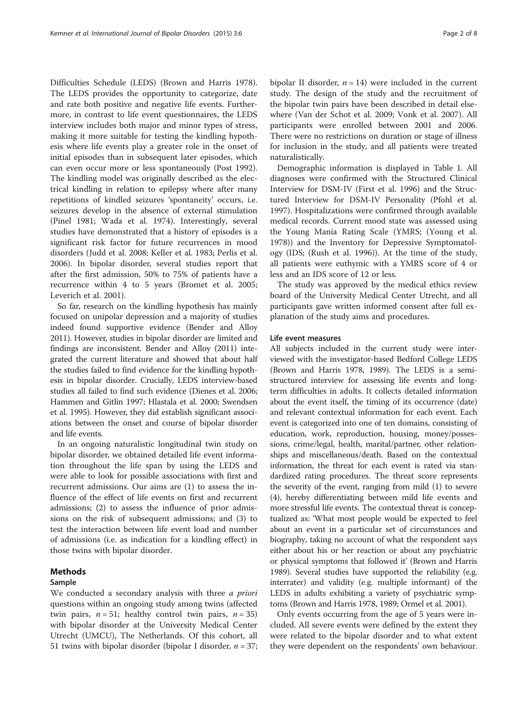Difficulties Schedule (LEDS) (Brown and Harris [1978](#page-7-0)). The LEDS provides the opportunity to categorize, date and rate both positive and negative life events. Furthermore, in contrast to life event questionnaires, the LEDS interview includes both major and minor types of stress, making it more suitable for testing the kindling hypothesis where life events play a greater role in the onset of initial episodes than in subsequent later episodes, which can even occur more or less spontaneously (Post [1992](#page-7-0)). The kindling model was originally described as the electrical kindling in relation to epilepsy where after many repetitions of kindled seizures 'spontaneity' occurs, i.e. seizures develop in the absence of external stimulation (Pinel [1981;](#page-7-0) Wada et al. [1974](#page-7-0)). Interestingly, several studies have demonstrated that a history of episodes is a significant risk factor for future recurrences in mood disorders (Judd et al. [2008](#page-7-0); Keller et al. [1983](#page-7-0); Perlis et al. [2006](#page-7-0)). In bipolar disorder, several studies report that after the first admission, 50% to 75% of patients have a recurrence within 4 to 5 years (Bromet et al. [2005](#page-7-0); Leverich et al. [2001\)](#page-7-0).

So far, research on the kindling hypothesis has mainly focused on unipolar depression and a majority of studies indeed found supportive evidence (Bender and Alloy [2011\)](#page-7-0). However, studies in bipolar disorder are limited and findings are inconsistent. Bender and Alloy [\(2011](#page-7-0)) integrated the current literature and showed that about half the studies failed to find evidence for the kindling hypothesis in bipolar disorder. Crucially, LEDS interview-based studies all failed to find such evidence (Dienes et al. [2006](#page-7-0); Hammen and Gitlin [1997;](#page-7-0) Hlastala et al. [2000](#page-7-0); Swendsen et al. [1995](#page-7-0)). However, they did establish significant associations between the onset and course of bipolar disorder and life events.

In an ongoing naturalistic longitudinal twin study on bipolar disorder, we obtained detailed life event information throughout the life span by using the LEDS and were able to look for possible associations with first and recurrent admissions. Our aims are (1) to assess the influence of the effect of life events on first and recurrent admissions; (2) to assess the influence of prior admissions on the risk of subsequent admissions; and (3) to test the interaction between life event load and number of admissions (i.e. as indication for a kindling effect) in those twins with bipolar disorder.

# Methods

# Sample

We conducted a secondary analysis with three *a priori* questions within an ongoing study among twins (affected twin pairs,  $n = 51$ ; healthy control twin pairs,  $n = 35$ ) with bipolar disorder at the University Medical Center Utrecht (UMCU), The Netherlands. Of this cohort, all 51 twins with bipolar disorder (bipolar I disorder,  $n = 37$ ; bipolar II disorder,  $n = 14$ ) were included in the current

study. The design of the study and the recruitment of the bipolar twin pairs have been described in detail elsewhere (Van der Schot et al. [2009;](#page-7-0) Vonk et al. [2007\)](#page-7-0). All participants were enrolled between 2001 and 2006. There were no restrictions on duration or stage of illness for inclusion in the study, and all patients were treated naturalistically.

Demographic information is displayed in Table [1](#page-2-0). All diagnoses were confirmed with the Structured Clinical Interview for DSM-IV (First et al. [1996\)](#page-7-0) and the Structured Interview for DSM-IV Personality (Pfohl et al. [1997](#page-7-0)). Hospitalizations were confirmed through available medical records. Current mood state was assessed using the Young Mania Rating Scale (YMRS; (Young et al. [1978](#page-7-0))) and the Inventory for Depressive Symptomatology (IDS; (Rush et al. [1996\)](#page-7-0)). At the time of the study, all patients were euthymic with a YMRS score of 4 or less and an IDS score of 12 or less.

The study was approved by the medical ethics review board of the University Medical Center Utrecht, and all participants gave written informed consent after full explanation of the study aims and procedures.

# Life event measures

All subjects included in the current study were interviewed with the investigator-based Bedford College LEDS (Brown and Harris [1978](#page-7-0), [1989\)](#page-7-0). The LEDS is a semistructured interview for assessing life events and longterm difficulties in adults. It collects detailed information about the event itself, the timing of its occurrence (date) and relevant contextual information for each event. Each event is categorized into one of ten domains, consisting of education, work, reproduction, housing, money/possessions, crime/legal, health, marital/partner, other relationships and miscellaneous/death. Based on the contextual information, the threat for each event is rated via standardized rating procedures. The threat score represents the severity of the event, ranging from mild (1) to severe (4), hereby differentiating between mild life events and more stressful life events. The contextual threat is conceptualized as: 'What most people would be expected to feel about an event in a particular set of circumstances and biography, taking no account of what the respondent says either about his or her reaction or about any psychiatric or physical symptoms that followed it' (Brown and Harris [1989](#page-7-0)). Several studies have supported the reliability (e.g. interrater) and validity (e.g. multiple informant) of the LEDS in adults exhibiting a variety of psychiatric symptoms (Brown and Harris [1978, 1989;](#page-7-0) Ormel et al. [2001\)](#page-7-0).

Only events occurring from the age of 5 years were included. All severe events were defined by the extent they were related to the bipolar disorder and to what extent they were dependent on the respondents' own behaviour.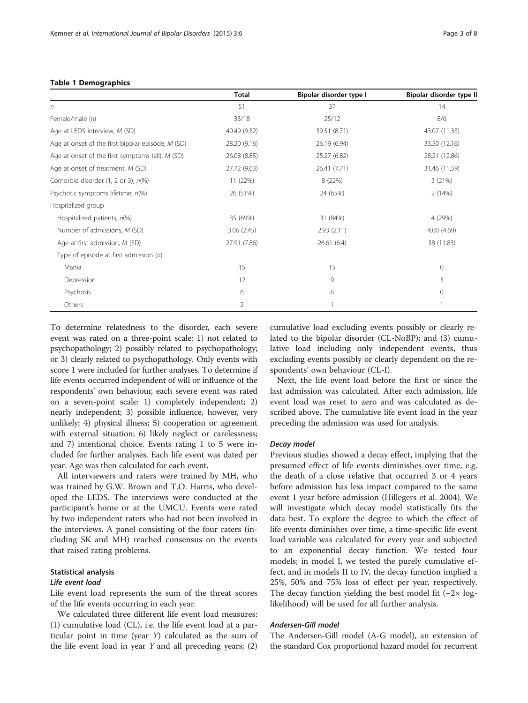# <span id="page-2-0"></span>Table 1 Demographics

|                                                   | <b>Total</b>   | Bipolar disorder type I | Bipolar disorder type II |
|---------------------------------------------------|----------------|-------------------------|--------------------------|
| n                                                 | 51             | 37                      | 14                       |
| Female/male (n)                                   | 33/18          | 25/12                   | 8/6                      |
| Age at LEDS interview, M (SD)                     | 40.49 (9.52)   | 39.51 (8.71)            | 43.07 (11.33)            |
| Age at onset of the first bipolar episode, M (SD) | 28.20 (9.16)   | 26.19 (6.94)            | 33.50 (12.16)            |
| Age at onset of the first symptoms (all), M (SD)  | 26.08 (8.85)   | 25.27 (6.82)            | 28.21 (12.86)            |
| Age at onset of treatment, M (SD)                 | 27.72 (9.03)   | 26.41 (7.71)            | 31.46 (11.59)            |
| Comorbid disorder (1, 2 or 3), n(%)               | 11 (22%)       | 8 (22%)                 | 3(21%)                   |
| Psychotic symptoms lifetime, n(%)                 | 26 (51%)       | 24 (65%)                | 2(14%)                   |
| Hospitalized group                                |                |                         |                          |
| Hospitalized patients, $n\ll 0$                   | 35 (69%)       | 31 (84%)                | 4 (29%)                  |
| Number of admissions, M (SD)                      | 3.06(2.45)     | 2.93(2.11)              | 4.00(4.69)               |
| Age at first admission, M (SD)                    | 27.91 (7.86)   | 26.61(6.4)              | 38 (11.83)               |
| Type of episode at first admission (n)            |                |                         |                          |
| Mania                                             | 15             | 15                      | 0                        |
| Depression                                        | 12             | 9                       | 3                        |
| Psychosis                                         | 6              | 6                       | 0                        |
| Others                                            | $\overline{2}$ |                         |                          |

To determine relatedness to the disorder, each severe event was rated on a three-point scale: 1) not related to psychopathology; 2) possibly related to psychopathology; or 3) clearly related to psychopathology. Only events with score 1 were included for further analyses. To determine if life events occurred independent of will or influence of the respondents' own behaviour, each severe event was rated on a seven-point scale: 1) completely independent; 2) nearly independent; 3) possible influence, however, very unlikely; 4) physical illness; 5) cooperation or agreement with external situation; 6) likely neglect or carelessness; and 7) intentional choice. Events rating 1 to 5 were included for further analyses. Each life event was dated per year. Age was then calculated for each event.

All interviewers and raters were trained by MH, who was trained by G.W. Brown and T.O. Harris, who developed the LEDS. The interviews were conducted at the participant's home or at the UMCU. Events were rated by two independent raters who had not been involved in the interviews. A panel consisting of the four raters (including SK and MH) reached consensus on the events that raised rating problems.

# Statistical analysis

#### Life event load

Life event load represents the sum of the threat scores of the life events occurring in each year.

We calculated three different life event load measures: (1) cumulative load (CL), i.e. the life event load at a particular point in time (year Y) calculated as the sum of the life event load in year  $Y$  and all preceding years;  $(2)$ 

cumulative load excluding events possibly or clearly related to the bipolar disorder (CL-NoBP); and (3) cumulative load including only independent events, thus excluding events possibly or clearly dependent on the respondents' own behaviour (CL-I).

Next, the life event load before the first or since the last admission was calculated. After each admission, life event load was reset to zero and was calculated as described above. The cumulative life event load in the year preceding the admission was used for analysis.

#### Decay model

Previous studies showed a decay effect, implying that the presumed effect of life events diminishes over time, e.g. the death of a close relative that occurred 3 or 4 years before admission has less impact compared to the same event 1 year before admission (Hillegers et al. [2004\)](#page-7-0). We will investigate which decay model statistically fits the data best. To explore the degree to which the effect of life events diminishes over time, a time-specific life event load variable was calculated for every year and subjected to an exponential decay function. We tested four models; in model I, we tested the purely cumulative effect, and in models II to IV, the decay function implied a 25%, 50% and 75% loss of effect per year, respectively. The decay function yielding the best model fit (−2× loglikelihood) will be used for all further analysis.

### Andersen-Gill model

The Andersen-Gill model (A-G model), an extension of the standard Cox proportional hazard model for recurrent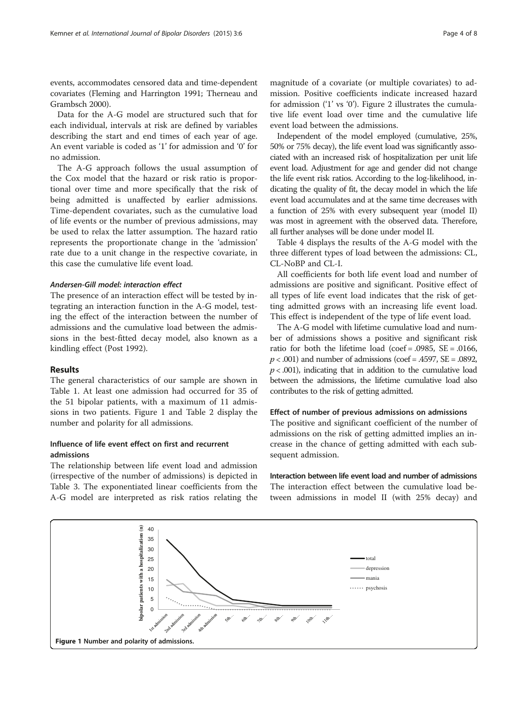<span id="page-3-0"></span>events, accommodates censored data and time-dependent covariates (Fleming and Harrington [1991;](#page-7-0) Therneau and Grambsch [2000\)](#page-7-0).

Data for the A-G model are structured such that for each individual, intervals at risk are defined by variables describing the start and end times of each year of age. An event variable is coded as '1' for admission and '0' for no admission.

The A-G approach follows the usual assumption of the Cox model that the hazard or risk ratio is proportional over time and more specifically that the risk of being admitted is unaffected by earlier admissions. Time-dependent covariates, such as the cumulative load of life events or the number of previous admissions, may be used to relax the latter assumption. The hazard ratio represents the proportionate change in the 'admission' rate due to a unit change in the respective covariate, in this case the cumulative life event load.

# Andersen-Gill model: interaction effect

The presence of an interaction effect will be tested by integrating an interaction function in the A-G model, testing the effect of the interaction between the number of admissions and the cumulative load between the admissions in the best-fitted decay model, also known as a kindling effect (Post [1992](#page-7-0)).

#### Results

The general characteristics of our sample are shown in Table [1.](#page-2-0) At least one admission had occurred for 35 of the 51 bipolar patients, with a maximum of 11 admissions in two patients. Figure 1 and Table [2](#page-4-0) display the number and polarity for all admissions.

# Influence of life event effect on first and recurrent admissions

The relationship between life event load and admission (irrespective of the number of admissions) is depicted in Table [3.](#page-4-0) The exponentiated linear coefficients from the A-G model are interpreted as risk ratios relating the

magnitude of a covariate (or multiple covariates) to admission. Positive coefficients indicate increased hazard for admission ('1' vs '0'). Figure [2](#page-5-0) illustrates the cumulative life event load over time and the cumulative life event load between the admissions.

Independent of the model employed (cumulative, 25%, 50% or 75% decay), the life event load was significantly associated with an increased risk of hospitalization per unit life event load. Adjustment for age and gender did not change the life event risk ratios. According to the log-likelihood, indicating the quality of fit, the decay model in which the life event load accumulates and at the same time decreases with a function of 25% with every subsequent year (model II) was most in agreement with the observed data. Therefore, all further analyses will be done under model II.

Table [4](#page-5-0) displays the results of the A-G model with the three different types of load between the admissions: CL, CL-NoRP and CL-I.

All coefficients for both life event load and number of admissions are positive and significant. Positive effect of all types of life event load indicates that the risk of getting admitted grows with an increasing life event load. This effect is independent of the type of life event load.

The A-G model with lifetime cumulative load and number of admissions shows a positive and significant risk ratio for both the lifetime load (coef = .0985,  $SE = .0166$ ,  $p < .001$ ) and number of admissions (coef = .4597, SE = .0892,  $p < .001$ ), indicating that in addition to the cumulative load between the admissions, the lifetime cumulative load also contributes to the risk of getting admitted.

# Effect of number of previous admissions on admissions

The positive and significant coefficient of the number of admissions on the risk of getting admitted implies an increase in the chance of getting admitted with each subsequent admission.

Interaction between life event load and number of admissions The interaction effect between the cumulative load between admissions in model II (with 25% decay) and

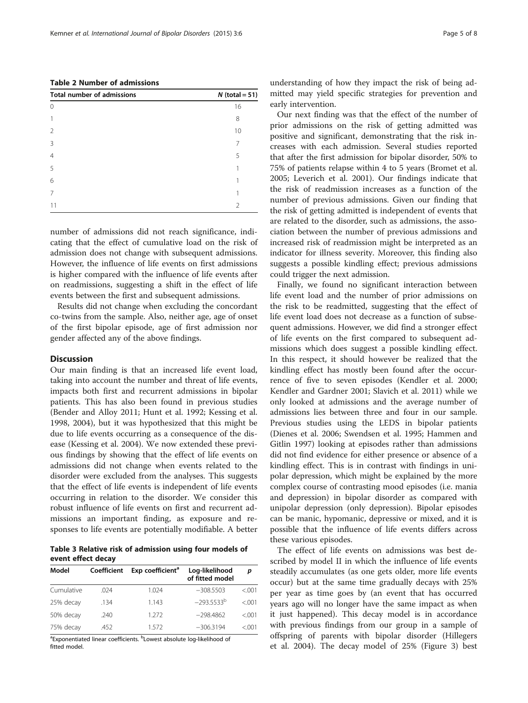<span id="page-4-0"></span>Table 2 Number of admissions

| <b>Total number of admissions</b> | $N$ (total = 51) |
|-----------------------------------|------------------|
| $\Omega$                          | 16               |
|                                   | 8                |
| $\mathfrak{D}$                    | 10               |
| 3                                 | 7                |
| 4                                 | 5                |
| 5                                 |                  |
| 6                                 |                  |
| 7                                 |                  |
|                                   | $\mathcal{P}$    |

number of admissions did not reach significance, indicating that the effect of cumulative load on the risk of admission does not change with subsequent admissions. However, the influence of life events on first admissions is higher compared with the influence of life events after on readmissions, suggesting a shift in the effect of life events between the first and subsequent admissions.

Results did not change when excluding the concordant co-twins from the sample. Also, neither age, age of onset of the first bipolar episode, age of first admission nor gender affected any of the above findings.

## **Discussion**

Our main finding is that an increased life event load, taking into account the number and threat of life events, impacts both first and recurrent admissions in bipolar patients. This has also been found in previous studies (Bender and Alloy [2011;](#page-7-0) Hunt et al. [1992;](#page-7-0) Kessing et al. [1998](#page-7-0), [2004](#page-7-0)), but it was hypothesized that this might be due to life events occurring as a consequence of the disease (Kessing et al. [2004](#page-7-0)). We now extended these previous findings by showing that the effect of life events on admissions did not change when events related to the disorder were excluded from the analyses. This suggests that the effect of life events is independent of life events occurring in relation to the disorder. We consider this robust influence of life events on first and recurrent admissions an important finding, as exposure and responses to life events are potentially modifiable. A better

Table 3 Relative risk of admission using four models of event effect decay

| Model      | Coefficient | Exp coefficient <sup>a</sup> | Log-likelihood<br>of fitted model | p       |
|------------|-------------|------------------------------|-----------------------------------|---------|
| Cumulative | .024        | 1.024                        | $-308.5503$                       | < 0.001 |
| 25% decay  | .134        | 1.143                        | $-293.5533^{b}$                   | < 0.01  |
| 50% decay  | .240        | 1.272                        | $-298.4862$                       | < 0.01  |
| 75% decay  | .452        | 1.572                        | $-306.3194$                       | < 0.01  |

<sup>a</sup>Exponentiated linear coefficients. <sup>b</sup>Lowest absolute log-likelihood of fitted model

understanding of how they impact the risk of being admitted may yield specific strategies for prevention and early intervention.

Our next finding was that the effect of the number of prior admissions on the risk of getting admitted was positive and significant, demonstrating that the risk increases with each admission. Several studies reported that after the first admission for bipolar disorder, 50% to 75% of patients relapse within 4 to 5 years (Bromet et al. [2005](#page-7-0); Leverich et al. [2001\)](#page-7-0). Our findings indicate that the risk of readmission increases as a function of the number of previous admissions. Given our finding that the risk of getting admitted is independent of events that are related to the disorder, such as admissions, the association between the number of previous admissions and increased risk of readmission might be interpreted as an indicator for illness severity. Moreover, this finding also suggests a possible kindling effect; previous admissions could trigger the next admission.

Finally, we found no significant interaction between life event load and the number of prior admissions on the risk to be readmitted, suggesting that the effect of life event load does not decrease as a function of subsequent admissions. However, we did find a stronger effect of life events on the first compared to subsequent admissions which does suggest a possible kindling effect. In this respect, it should however be realized that the kindling effect has mostly been found after the occurrence of five to seven episodes (Kendler et al. [2000](#page-7-0); Kendler and Gardner [2001;](#page-7-0) Slavich et al. [2011\)](#page-7-0) while we only looked at admissions and the average number of admissions lies between three and four in our sample. Previous studies using the LEDS in bipolar patients (Dienes et al. [2006;](#page-7-0) Swendsen et al. [1995](#page-7-0); Hammen and Gitlin [1997\)](#page-7-0) looking at episodes rather than admissions did not find evidence for either presence or absence of a kindling effect. This is in contrast with findings in unipolar depression, which might be explained by the more complex course of contrasting mood episodes (i.e. mania and depression) in bipolar disorder as compared with unipolar depression (only depression). Bipolar episodes can be manic, hypomanic, depressive or mixed, and it is possible that the influence of life events differs across these various episodes.

The effect of life events on admissions was best described by model II in which the influence of life events steadily accumulates (as one gets older, more life events occur) but at the same time gradually decays with 25% per year as time goes by (an event that has occurred years ago will no longer have the same impact as when it just happened). This decay model is in accordance with previous findings from our group in a sample of offspring of parents with bipolar disorder (Hillegers et al. [2004\)](#page-7-0). The decay model of 25% (Figure [3](#page-6-0)) best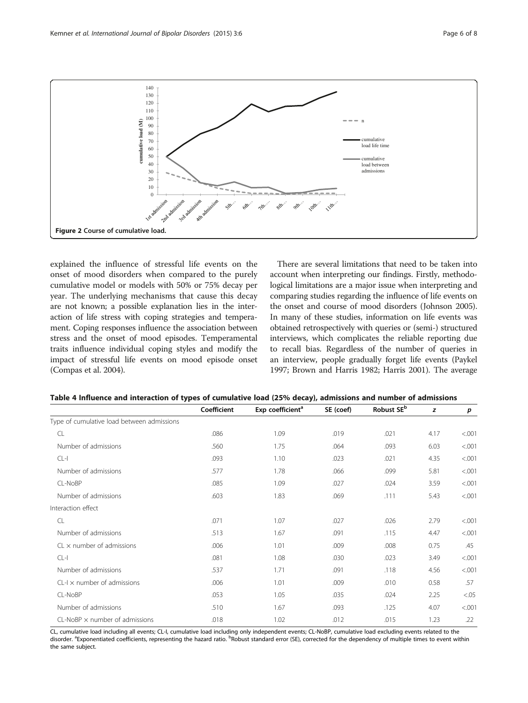<span id="page-5-0"></span>

explained the influence of stressful life events on the onset of mood disorders when compared to the purely cumulative model or models with 50% or 75% decay per year. The underlying mechanisms that cause this decay are not known; a possible explanation lies in the interaction of life stress with coping strategies and temperament. Coping responses influence the association between stress and the onset of mood episodes. Temperamental traits influence individual coping styles and modify the impact of stressful life events on mood episode onset (Compas et al. [2004](#page-7-0)).

There are several limitations that need to be taken into account when interpreting our findings. Firstly, methodological limitations are a major issue when interpreting and comparing studies regarding the influence of life events on the onset and course of mood disorders (Johnson [2005](#page-7-0)). In many of these studies, information on life events was obtained retrospectively with queries or (semi-) structured interviews, which complicates the reliable reporting due to recall bias. Regardless of the number of queries in an interview, people gradually forget life events (Paykel [1997](#page-7-0); Brown and Harris [1982](#page-7-0); Harris [2001](#page-7-0)). The average

|                                            | Coefficient | Exp coefficient <sup>a</sup> | SE (coef) | Robust SE <sup>b</sup> | z    | p       |
|--------------------------------------------|-------------|------------------------------|-----------|------------------------|------|---------|
| Type of cumulative load between admissions |             |                              |           |                        |      |         |
| <b>CL</b>                                  | .086        | 1.09                         | .019      | .021                   | 4.17 | < .001  |
| Number of admissions                       | .560        | 1.75                         | .064      | .093                   | 6.03 | < .001  |
| $CL-I$                                     | .093        | 1.10                         | .023      | .021                   | 4.35 | < .001  |
| Number of admissions                       | .577        | 1.78                         | .066      | .099                   | 5.81 | < 0.001 |
| CL-NoBP                                    | .085        | 1.09                         | .027      | .024                   | 3.59 | < .001  |
| Number of admissions                       | .603        | 1.83                         | .069      | .111                   | 5.43 | < 0.001 |
| Interaction effect                         |             |                              |           |                        |      |         |
| CL                                         | .071        | 1.07                         | .027      | .026                   | 2.79 | < .001  |
| Number of admissions                       | .513        | 1.67                         | .091      | .115                   | 4.47 | < .001  |
| $CL \times$ number of admissions           | .006        | 1.01                         | .009      | .008                   | 0.75 | .45     |
| $CL-I$                                     | .081        | 1.08                         | .030      | .023                   | 3.49 | < .001  |
| Number of admissions                       | .537        | 1.71                         | .091      | .118                   | 4.56 | < .001  |
| $CL$ -I $\times$ number of admissions      | .006        | 1.01                         | .009      | .010                   | 0.58 | .57     |
| CL-NoBP                                    | .053        | 1.05                         | .035      | .024                   | 2.25 | < 0.05  |
| Number of admissions                       | .510        | 1.67                         | .093      | .125                   | 4.07 | < .001  |
| $CL-NoBP \times number of admissions$      | .018        | 1.02                         | .012      | .015                   | 1.23 | .22     |

Table 4 Influence and interaction of types of cumulative load (25% decay), admissions and number of admissions

CL, cumulative load including all events; CL-I, cumulative load including only independent events; CL-NoBP, cumulative load excluding events related to the disorder. <sup>a</sup>Exponentiated coefficients, representing the hazard ratio. <sup>b</sup>Robust standard error (SE), corrected for the dependency of multiple times to event within the same subject.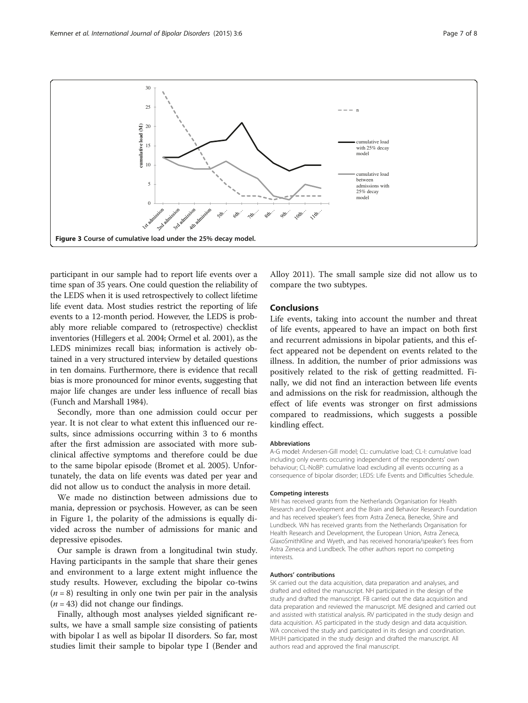<span id="page-6-0"></span>

participant in our sample had to report life events over a time span of 35 years. One could question the reliability of the LEDS when it is used retrospectively to collect lifetime life event data. Most studies restrict the reporting of life events to a 12-month period. However, the LEDS is probably more reliable compared to (retrospective) checklist inventories (Hillegers et al. [2004](#page-7-0); Ormel et al. [2001](#page-7-0)), as the LEDS minimizes recall bias; information is actively obtained in a very structured interview by detailed questions in ten domains. Furthermore, there is evidence that recall bias is more pronounced for minor events, suggesting that major life changes are under less influence of recall bias (Funch and Marshall [1984\)](#page-7-0).

Secondly, more than one admission could occur per year. It is not clear to what extent this influenced our results, since admissions occurring within 3 to 6 months after the first admission are associated with more subclinical affective symptoms and therefore could be due to the same bipolar episode (Bromet et al. [2005](#page-7-0)). Unfortunately, the data on life events was dated per year and did not allow us to conduct the analysis in more detail.

We made no distinction between admissions due to mania, depression or psychosis. However, as can be seen in Figure [1,](#page-3-0) the polarity of the admissions is equally divided across the number of admissions for manic and depressive episodes.

Our sample is drawn from a longitudinal twin study. Having participants in the sample that share their genes and environment to a large extent might influence the study results. However, excluding the bipolar co-twins  $(n = 8)$  resulting in only one twin per pair in the analysis  $(n = 43)$  did not change our findings.

Finally, although most analyses yielded significant results, we have a small sample size consisting of patients with bipolar I as well as bipolar II disorders. So far, most studies limit their sample to bipolar type I (Bender and

Alloy [2011\)](#page-7-0). The small sample size did not allow us to compare the two subtypes.

## Conclusions

Life events, taking into account the number and threat of life events, appeared to have an impact on both first and recurrent admissions in bipolar patients, and this effect appeared not be dependent on events related to the illness. In addition, the number of prior admissions was positively related to the risk of getting readmitted. Finally, we did not find an interaction between life events and admissions on the risk for readmission, although the effect of life events was stronger on first admissions compared to readmissions, which suggests a possible kindling effect.

### Abbreviations

A-G model: Andersen-Gill model; CL: cumulative load; CL-I: cumulative load including only events occurring independent of the respondents' own behaviour; CL-NoBP: cumulative load excluding all events occurring as a consequence of bipolar disorder; LEDS: Life Events and Difficulties Schedule.

#### Competing interests

MH has received grants from the Netherlands Organisation for Health Research and Development and the Brain and Behavior Research Foundation and has received speaker's fees from Astra Zeneca, Benecke, Shire and Lundbeck. WN has received grants from the Netherlands Organisation for Health Research and Development, the European Union, Astra Zeneca, GlaxoSmithKline and Wyeth, and has received honoraria/speaker's fees from Astra Zeneca and Lundbeck. The other authors report no competing interests.

#### Authors' contributions

SK carried out the data acquisition, data preparation and analyses, and drafted and edited the manuscript. NH participated in the design of the study and drafted the manuscript. FB carried out the data acquisition and data preparation and reviewed the manuscript. ME designed and carried out and assisted with statistical analysis. RV participated in the study design and data acquisition. AS participated in the study design and data acquisition. WA conceived the study and participated in its design and coordination. MHJH participated in the study design and drafted the manuscript. All authors read and approved the final manuscript.